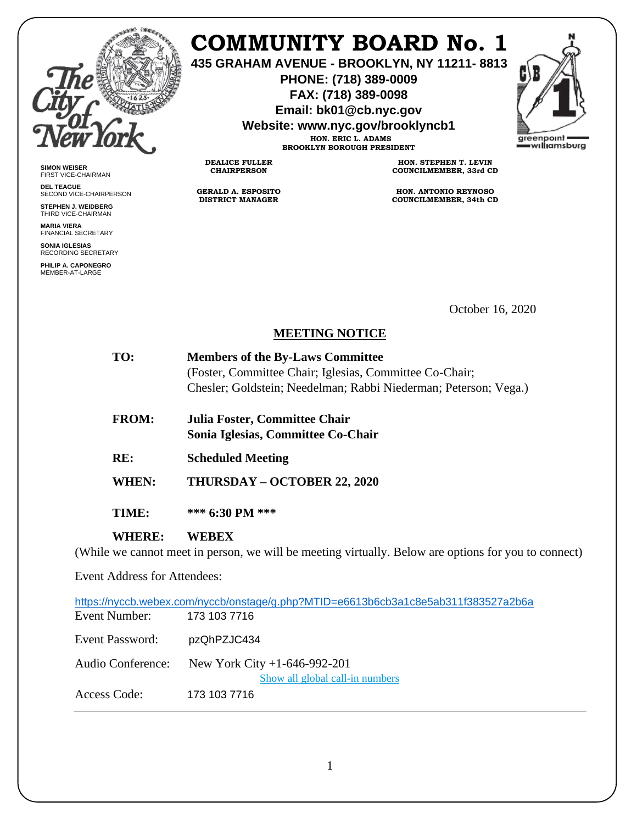

**SIMON WEISER** FIRST VICE-CHAIRMAN **DEL TEAGUE**

SECOND VICE-CHAIRPERSON **STEPHEN J. WEIDBERG** THIRD VICE-CHAIRMAN **MARIA VIERA** FINANCIAL SECRETARY **SONIA IGLESIAS** RECORDING SECRETARY **PHILIP A. CAPONEGRO** MEMBER-AT-LARGE

# **COMMUNITY BOARD No. 1**

**435 GRAHAM AVENUE - BROOKLYN, NY 11211- 8813**

**PHONE: (718) 389-0009 FAX: (718) 389-0098**

**Email: bk01@cb.nyc.gov**

**Website: www.nyc.gov/brooklyncb1**

**HON. ERIC L. ADAMS BROOKLYN BOROUGH PRESIDENT**

**DEALICE FULLER CHAIRPERSON**

**GERALD A. ESPOSITO DISTRICT MANAGER**

**HON. STEPHEN T. LEVIN COUNCILMEMBER, 33rd CD**

**HON. ANTONIO REYNOSO COUNCILMEMBER, 34th CD**

October 16, 2020

#### **MEETING NOTICE**

| TO:                                 | <b>Members of the By-Laws Committee</b>                                                              |
|-------------------------------------|------------------------------------------------------------------------------------------------------|
|                                     | (Foster, Committee Chair; Iglesias, Committee Co-Chair;                                              |
|                                     | Chesler; Goldstein; Needelman; Rabbi Niederman; Peterson; Vega.)                                     |
| <b>FROM:</b>                        | Julia Foster, Committee Chair                                                                        |
|                                     | Sonia Iglesias, Committee Co-Chair                                                                   |
| RE:                                 | <b>Scheduled Meeting</b>                                                                             |
| WHEN:                               | THURSDAY - OCTOBER 22, 2020                                                                          |
| TIME:                               | *** $6:30 \text{ PM}$ ***                                                                            |
| <b>WHERE:</b>                       | WEBEX                                                                                                |
|                                     | (While we cannot meet in person, we will be meeting virtually. Below are options for you to connect) |
| <b>Event Address for Attendees:</b> |                                                                                                      |
|                                     | https://nyccb.webex.com/nyccb/onstage/g.php?MTID=e6613b6cb3a1c8e5ab311f383527a2b6a                   |
| Event Number:                       | 173 103 7716                                                                                         |

Event Password: pzQhPZJC434

Audio Conference: New York City +1-646-992-201

[Show all global call-in numbers](https://nyccb.webex.com/cmp3300/webcomponents/widget/globalcallin/globalcallin.do?siteurl=nyccb&serviceType=EC&eventID=1101180212&tollFree=0)

Access Code: 173 103 7716

1

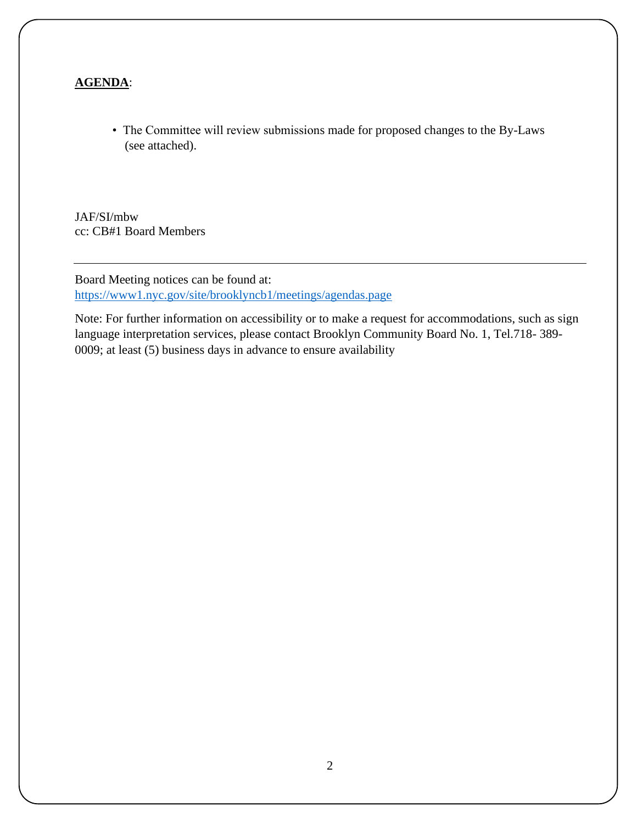#### **AGENDA**:

• The Committee will review submissions made for proposed changes to the By-Laws (see attached).

JAF/SI/mbw cc: CB#1 Board Members

Board Meeting notices can be found at: <https://www1.nyc.gov/site/brooklyncb1/meetings/agendas.page>

Note: For further information on accessibility or to make a request for accommodations, such as sign language interpretation services, please contact Brooklyn Community Board No. 1, Tel.718- 389- 0009; at least (5) business days in advance to ensure availability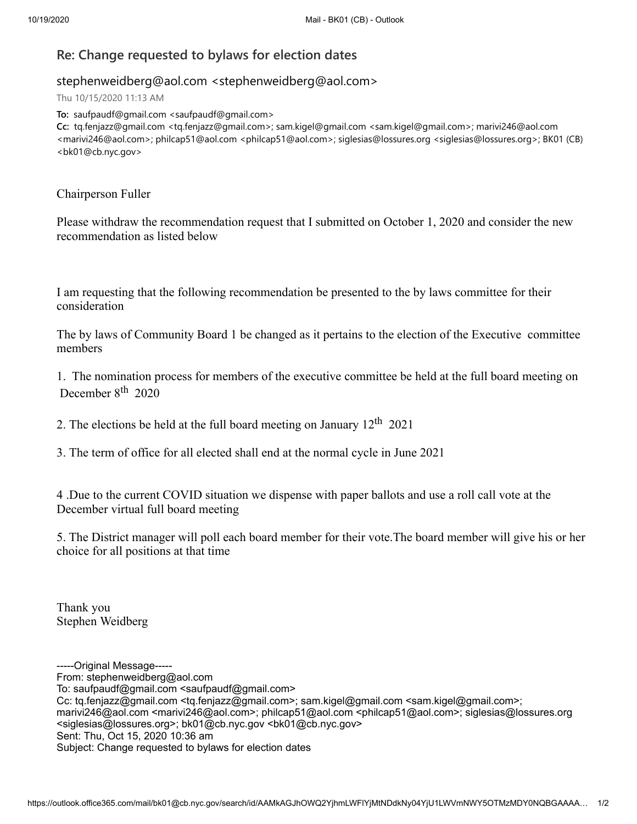### **Re: Change requested to bylaws for election dates**

#### stephenweidberg@aol.com <stephenweidberg@aol.com>

Thu 10/15/2020 11:13 AM

**To:** saufpaudf@gmail.com <saufpaudf@gmail.com>

**Cc:** tq.fenjazz@gmail.com <tq.fenjazz@gmail.com>; sam.kigel@gmail.com <sam.kigel@gmail.com>; marivi246@aol.com <marivi246@aol.com>; philcap51@aol.com <philcap51@aol.com>; siglesias@lossures.org <siglesias@lossures.org>; BK01 (CB) <bk01@cb.nyc.gov>

Chairperson Fuller

Please withdraw the recommendation request that I submitted on October 1, 2020 and consider the new recommendation as listed below

I am requesting that the following recommendation be presented to the by laws committee for their consideration

The by laws of Community Board 1 be changed as it pertains to the election of the Executive committee members

1. The nomination process for members of the executive committee be held at the full board meeting on December  $8<sup>th</sup>$  2020

2. The elections be held at the full board meeting on January  $12<sup>th</sup> 2021$ 

3. The term of office for all elected shall end at the normal cycle in June 2021

4 .Due to the current COVID situation we dispense with paper ballots and use a roll call vote at the December virtual full board meeting

5. The District manager will poll each board member for their vote.The board member will give his or her choice for all positions at that time

Thank you Stephen Weidberg

- -----Original Message-----
- From: stephenweidberg@aol.com

To: saufpaudf@gmail.com <saufpaudf@gmail.com>

Cc: tq.fenjazz@gmail.com <tq.fenjazz@gmail.com>; sam.kigel@gmail.com <sam.kigel@gmail.com>;

marivi246@aol.com <marivi246@aol.com>; philcap51@aol.com <philcap51@aol.com>; siglesias@lossures.org <siglesias@lossures.org>; bk01@cb.nyc.gov <bk01@cb.nyc.gov>

Sent: Thu, Oct 15, 2020 10:36 am

Subject: Change requested to bylaws for election dates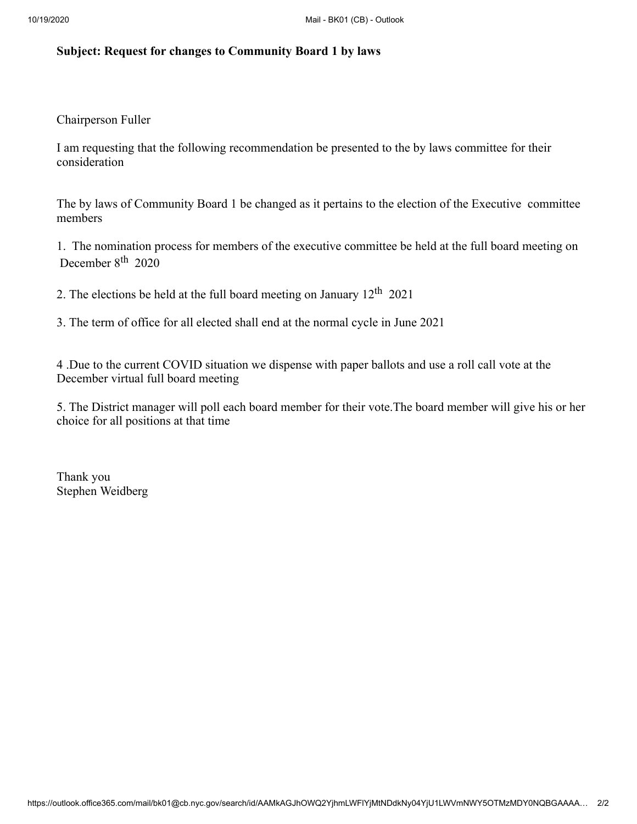#### **Subject: Request for changes to Community Board 1 by laws**

Chairperson Fuller

I am requesting that the following recommendation be presented to the by laws committee for their consideration

The by laws of Community Board 1 be changed as it pertains to the election of the Executive committee members

1. The nomination process for members of the executive committee be held at the full board meeting on December 8<sup>th</sup> 2020

2. The elections be held at the full board meeting on January  $12^{th}$  2021

3. The term of office for all elected shall end at the normal cycle in June 2021

4 .Due to the current COVID situation we dispense with paper ballots and use a roll call vote at the December virtual full board meeting

5. The District manager will poll each board member for their vote.The board member will give his or her choice for all positions at that time

Thank you Stephen Weidberg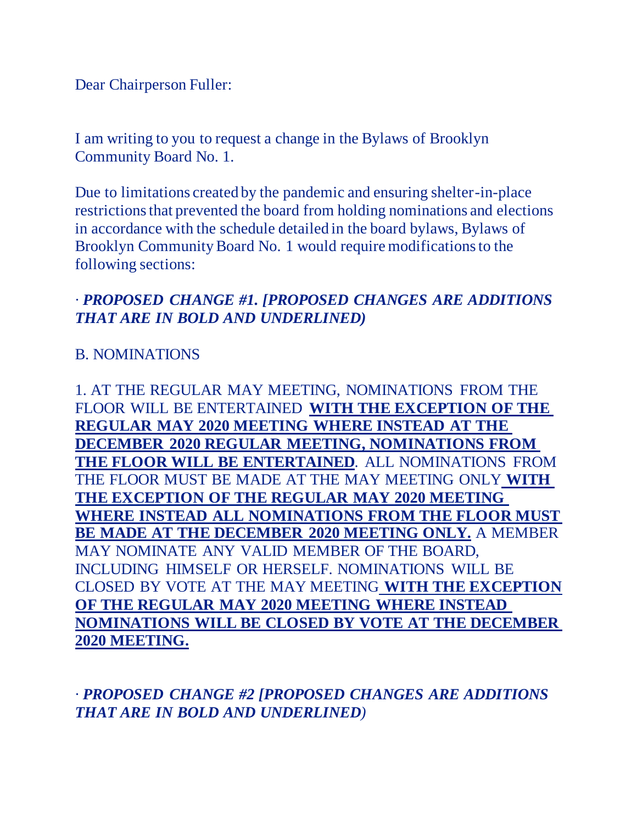Dear Chairperson Fuller:

I am writing to you to request a change in the Bylaws of Brooklyn Community Board No. 1.

Due to limitations created by the pandemic and ensuring shelter-in-place restrictions that prevented the board from holding nominations and elections in accordance with the schedule detailed in the board bylaws, Bylaws of Brooklyn Community Board No. 1 would require modifications to the following sections:

## *· PROPOSED CHANGE #1. [PROPOSED CHANGES ARE ADDITIONS THAT ARE IN BOLD AND UNDERLINED)*

### B. NOMINATIONS

1. AT THE REGULAR MAY MEETING, NOMINATIONS FROM THE FLOOR WILL BE ENTERTAINED **WITH THE EXCEPTION OF THE REGULAR MAY 2020 MEETING WHERE INSTEAD AT THE DECEMBER 2020 REGULAR MEETING, NOMINATIONS FROM THE FLOOR WILL BE ENTERTAINED**. ALL NOMINATIONS FROM THE FLOOR MUST BE MADE AT THE MAY MEETING ONLY **WITH THE EXCEPTION OF THE REGULAR MAY 2020 MEETING WHERE INSTEAD ALL NOMINATIONS FROM THE FLOOR MUST BE MADE AT THE DECEMBER 2020 MEETING ONLY.** A MEMBER MAY NOMINATE ANY VALID MEMBER OF THE BOARD, INCLUDING HIMSELF OR HERSELF. NOMINATIONS WILL BE CLOSED BY VOTE AT THE MAY MEETING **WITH THE EXCEPTION OF THE REGULAR MAY 2020 MEETING WHERE INSTEAD NOMINATIONS WILL BE CLOSED BY VOTE AT THE DECEMBER 2020 MEETING.**

*· PROPOSED CHANGE #2 [PROPOSED CHANGES ARE ADDITIONS THAT ARE IN BOLD AND UNDERLINED)*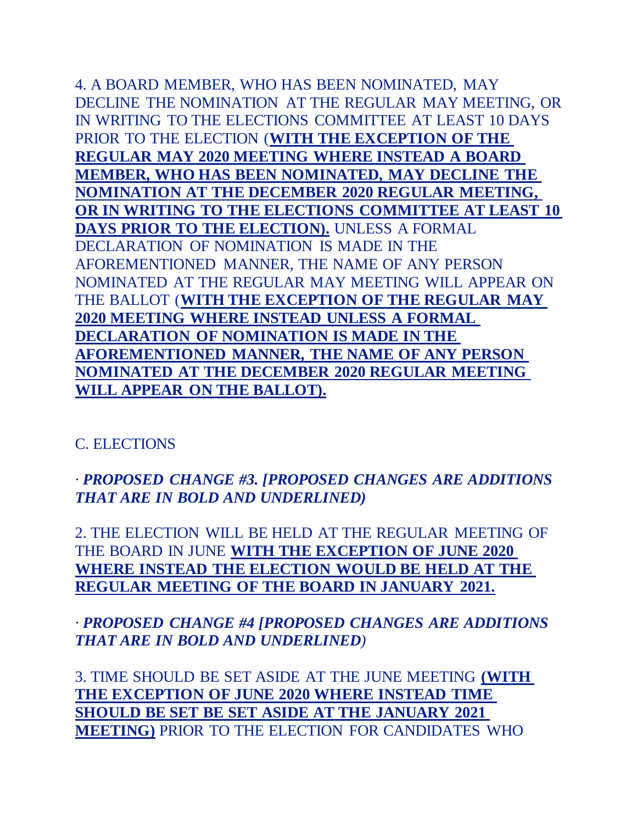4. A BOARD MEMBER, WHO HAS BEEN NOMINATED, MAY DECLINE THE NOMINATION AT THE REGULAR MAY MEETING, OR IN WRITING TO THE ELECTIONS COMMITTEE AT LEAST 10 DAYS PRIOR TO THE ELECTION (**WITH THE EXCEPTION OF THE REGULAR MAY 2020 MEETING WHERE INSTEAD A BOARD MEMBER, WHO HAS BEEN NOMINATED, MAY DECLINE THE NOMINATION AT THE DECEMBER 2020 REGULAR MEETING, OR IN WRITING TO THE ELECTIONS COMMITTEE AT LEAST 10 DAYS PRIOR TO THE ELECTION).** UNLESS A FORMAL DECLARATION OF NOMINATION IS MADE IN THE AFOREMENTIONED MANNER, THE NAME OF ANY PERSON NOMINATED AT THE REGULAR MAY MEETING WILL APPEAR ON THE BALLOT (**WITH THE EXCEPTION OF THE REGULAR MAY 2020 MEETING WHERE INSTEAD UNLESS A FORMAL DECLARATION OF NOMINATION IS MADE IN THE AFOREMENTIONED MANNER, THE NAME OF ANY PERSON NOMINATED AT THE DECEMBER 2020 REGULAR MEETING WILL APPEAR ON THE BALLOT).**

#### C. ELECTIONS

*· PROPOSED CHANGE #3. [PROPOSED CHANGES ARE ADDITIONS THAT ARE IN BOLD AND UNDERLINED)*

2. THE ELECTION WILL BE HELD AT THE REGULAR MEETING OF THE BOARD IN JUNE **WITH THE EXCEPTION OF JUNE 2020 WHERE INSTEAD THE ELECTION WOULD BE HELD AT THE REGULAR MEETING OF THE BOARD IN JANUARY 2021.**

*· PROPOSED CHANGE #4 [PROPOSED CHANGES ARE ADDITIONS THAT ARE IN BOLD AND UNDERLINED)*

3. TIME SHOULD BE SET ASIDE AT THE JUNE MEETING **(WITH THE EXCEPTION OF JUNE 2020 WHERE INSTEAD TIME SHOULD BE SET BE SET ASIDE AT THE JANUARY 2021 MEETING)** PRIOR TO THE ELECTION FOR CANDIDATES WHO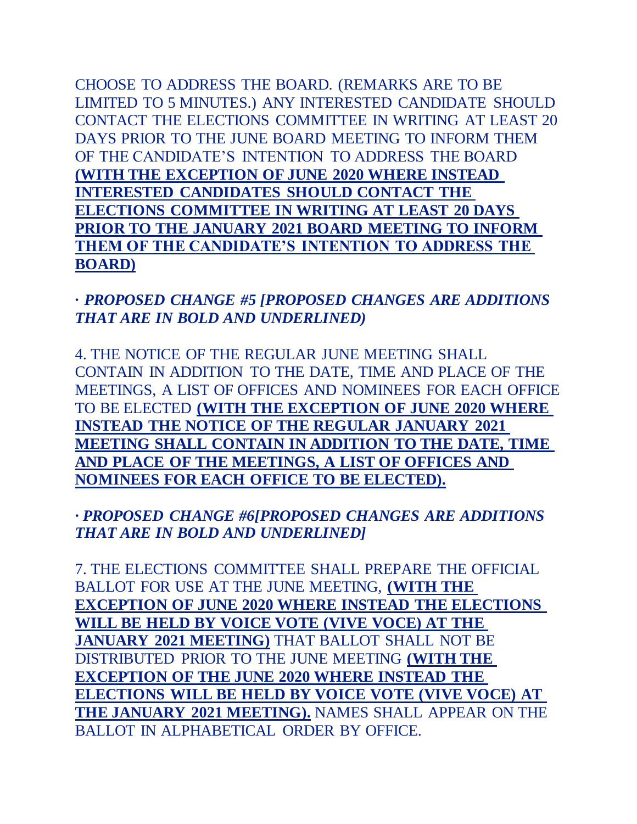CHOOSE TO ADDRESS THE BOARD. (REMARKS ARE TO BE LIMITED TO 5 MINUTES.) ANY INTERESTED CANDIDATE SHOULD CONTACT THE ELECTIONS COMMITTEE IN WRITING AT LEAST 20 DAYS PRIOR TO THE JUNE BOARD MEETING TO INFORM THEM OF THE CANDIDATE'S INTENTION TO ADDRESS THE BOARD **(WITH THE EXCEPTION OF JUNE 2020 WHERE INSTEAD INTERESTED CANDIDATES SHOULD CONTACT THE ELECTIONS COMMITTEE IN WRITING AT LEAST 20 DAYS PRIOR TO THE JANUARY 2021 BOARD MEETING TO INFORM THEM OF THE CANDIDATE'S INTENTION TO ADDRESS THE BOARD)**

### **·** *PROPOSED CHANGE #5 [PROPOSED CHANGES ARE ADDITIONS THAT ARE IN BOLD AND UNDERLINED)*

4. THE NOTICE OF THE REGULAR JUNE MEETING SHALL CONTAIN IN ADDITION TO THE DATE, TIME AND PLACE OF THE MEETINGS, A LIST OF OFFICES AND NOMINEES FOR EACH OFFICE TO BE ELECTED **(WITH THE EXCEPTION OF JUNE 2020 WHERE INSTEAD THE NOTICE OF THE REGULAR JANUARY 2021 MEETING SHALL CONTAIN IN ADDITION TO THE DATE, TIME AND PLACE OF THE MEETINGS, A LIST OF OFFICES AND NOMINEES FOR EACH OFFICE TO BE ELECTED).**

### *· PROPOSED CHANGE #6[PROPOSED CHANGES ARE ADDITIONS THAT ARE IN BOLD AND UNDERLINED]*

7. THE ELECTIONS COMMITTEE SHALL PREPARE THE OFFICIAL BALLOT FOR USE AT THE JUNE MEETING, **(WITH THE EXCEPTION OF JUNE 2020 WHERE INSTEAD THE ELECTIONS WILL BE HELD BY VOICE VOTE (VIVE VOCE) AT THE JANUARY 2021 MEETING)** THAT BALLOT SHALL NOT BE DISTRIBUTED PRIOR TO THE JUNE MEETING **(WITH THE EXCEPTION OF THE JUNE 2020 WHERE INSTEAD THE ELECTIONS WILL BE HELD BY VOICE VOTE (VIVE VOCE) AT THE JANUARY 2021 MEETING).** NAMES SHALL APPEAR ON THE BALLOT IN ALPHABETICAL ORDER BY OFFICE.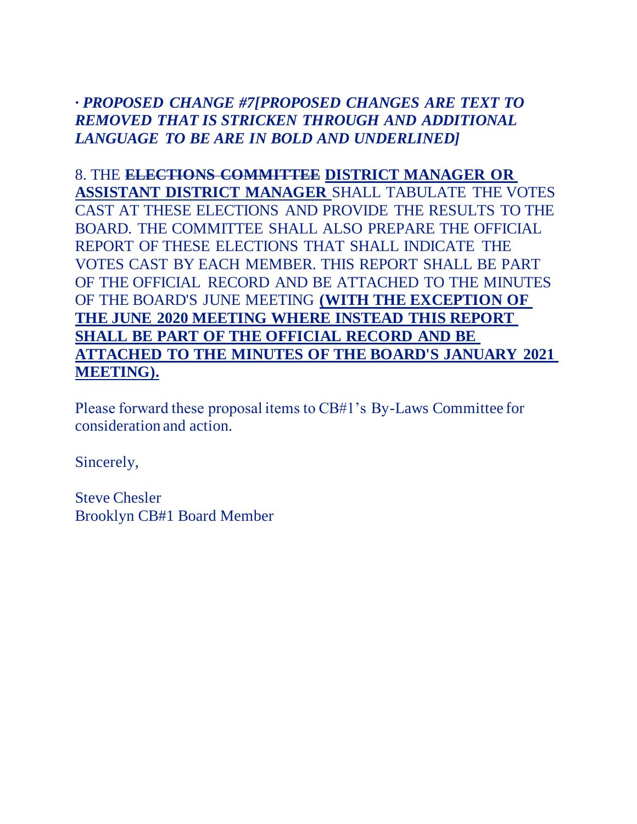# *· PROPOSED CHANGE #7[PROPOSED CHANGES ARE TEXT TO REMOVED THAT IS STRICKEN THROUGH AND ADDITIONAL LANGUAGE TO BE ARE IN BOLD AND UNDERLINED]*

8. THE **ELECTIONS COMMITTEE DISTRICT MANAGER OR ASSISTANT DISTRICT MANAGER** SHALL TABULATE THE VOTES CAST AT THESE ELECTIONS AND PROVIDE THE RESULTS TO THE BOARD. THE COMMITTEE SHALL ALSO PREPARE THE OFFICIAL REPORT OF THESE ELECTIONS THAT SHALL INDICATE THE VOTES CAST BY EACH MEMBER. THIS REPORT SHALL BE PART OF THE OFFICIAL RECORD AND BE ATTACHED TO THE MINUTES OF THE BOARD'S JUNE MEETING **(WITH THE EXCEPTION OF THE JUNE 2020 MEETING WHERE INSTEAD THIS REPORT SHALL BE PART OF THE OFFICIAL RECORD AND BE ATTACHED TO THE MINUTES OF THE BOARD'S JANUARY 2021 MEETING).**

Please forward these proposal items to CB#1's By-Laws Committee for consideration and action.

Sincerely,

Steve Chesler Brooklyn CB#1 Board Member